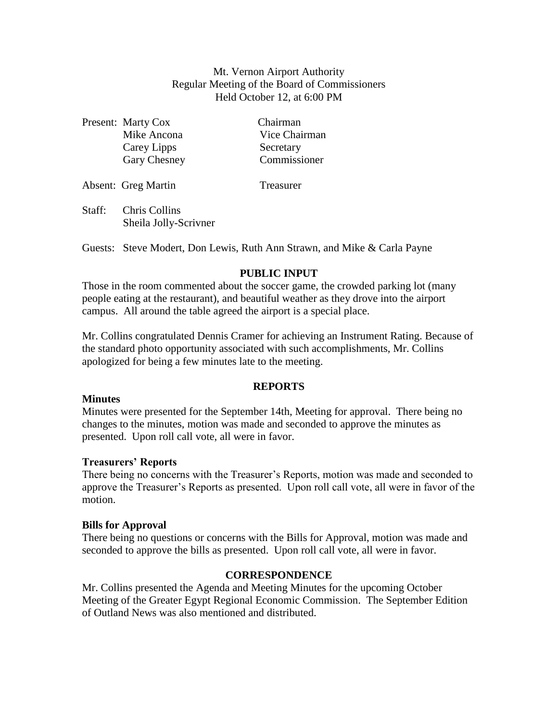Mt. Vernon Airport Authority Regular Meeting of the Board of Commissioners Held October 12, at 6:00 PM

|        | Present: Marty Cox                            | Chairman      |
|--------|-----------------------------------------------|---------------|
|        | Mike Ancona                                   | Vice Chairman |
|        | Carey Lipps                                   | Secretary     |
|        | Gary Chesney                                  | Commissioner  |
|        | Absent: Greg Martin                           | Treasurer     |
| Staff: | <b>Chris Collins</b><br>Sheila Jolly-Scrivner |               |

Guests: Steve Modert, Don Lewis, Ruth Ann Strawn, and Mike & Carla Payne

# **PUBLIC INPUT**

Those in the room commented about the soccer game, the crowded parking lot (many people eating at the restaurant), and beautiful weather as they drove into the airport campus. All around the table agreed the airport is a special place.

Mr. Collins congratulated Dennis Cramer for achieving an Instrument Rating. Because of the standard photo opportunity associated with such accomplishments, Mr. Collins apologized for being a few minutes late to the meeting.

# **REPORTS**

### **Minutes**

Minutes were presented for the September 14th, Meeting for approval. There being no changes to the minutes, motion was made and seconded to approve the minutes as presented. Upon roll call vote, all were in favor.

### **Treasurers' Reports**

There being no concerns with the Treasurer's Reports, motion was made and seconded to approve the Treasurer's Reports as presented. Upon roll call vote, all were in favor of the motion.

### **Bills for Approval**

There being no questions or concerns with the Bills for Approval, motion was made and seconded to approve the bills as presented. Upon roll call vote, all were in favor.

### **CORRESPONDENCE**

Mr. Collins presented the Agenda and Meeting Minutes for the upcoming October Meeting of the Greater Egypt Regional Economic Commission. The September Edition of Outland News was also mentioned and distributed.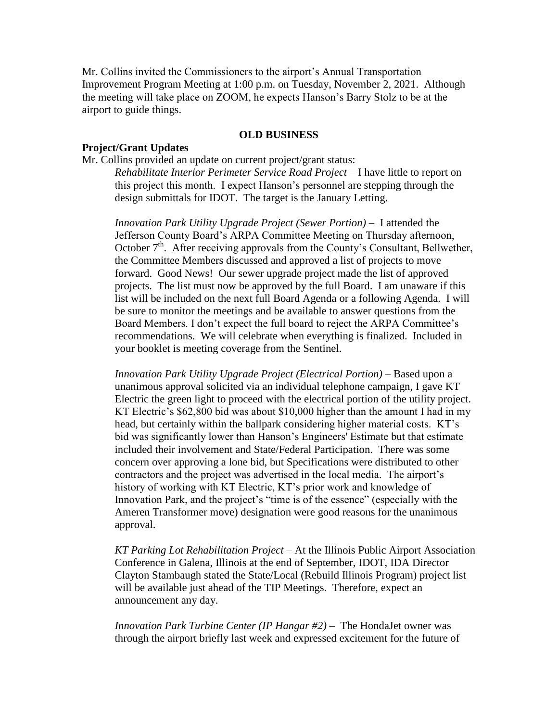Mr. Collins invited the Commissioners to the airport's Annual Transportation Improvement Program Meeting at 1:00 p.m. on Tuesday, November 2, 2021. Although the meeting will take place on ZOOM, he expects Hanson's Barry Stolz to be at the airport to guide things.

### **OLD BUSINESS**

## **Project/Grant Updates**

Mr. Collins provided an update on current project/grant status:

*Rehabilitate Interior Perimeter Service Road Project* – I have little to report on this project this month. I expect Hanson's personnel are stepping through the design submittals for IDOT. The target is the January Letting.

*Innovation Park Utility Upgrade Project (Sewer Portion) –* I attended the Jefferson County Board's ARPA Committee Meeting on Thursday afternoon, October  $7<sup>th</sup>$ . After receiving approvals from the County's Consultant, Bellwether, the Committee Members discussed and approved a list of projects to move forward. Good News! Our sewer upgrade project made the list of approved projects. The list must now be approved by the full Board. I am unaware if this list will be included on the next full Board Agenda or a following Agenda. I will be sure to monitor the meetings and be available to answer questions from the Board Members. I don't expect the full board to reject the ARPA Committee's recommendations. We will celebrate when everything is finalized. Included in your booklet is meeting coverage from the Sentinel.

*Innovation Park Utility Upgrade Project (Electrical Portion) –* Based upon a unanimous approval solicited via an individual telephone campaign, I gave KT Electric the green light to proceed with the electrical portion of the utility project. KT Electric's \$62,800 bid was about \$10,000 higher than the amount I had in my head, but certainly within the ballpark considering higher material costs. KT's bid was significantly lower than Hanson's Engineers' Estimate but that estimate included their involvement and State/Federal Participation. There was some concern over approving a lone bid, but Specifications were distributed to other contractors and the project was advertised in the local media. The airport's history of working with KT Electric, KT's prior work and knowledge of Innovation Park, and the project's "time is of the essence" (especially with the Ameren Transformer move) designation were good reasons for the unanimous approval.

*KT Parking Lot Rehabilitation Project –* At the Illinois Public Airport Association Conference in Galena, Illinois at the end of September, IDOT, IDA Director Clayton Stambaugh stated the State/Local (Rebuild Illinois Program) project list will be available just ahead of the TIP Meetings. Therefore, expect an announcement any day.

*Innovation Park Turbine Center (IP Hangar #2)* – The HondaJet owner was through the airport briefly last week and expressed excitement for the future of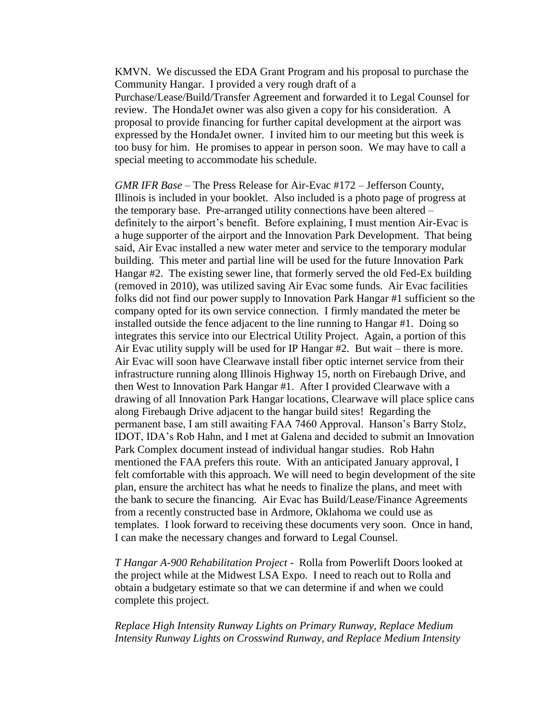KMVN. We discussed the EDA Grant Program and his proposal to purchase the Community Hangar. I provided a very rough draft of a Purchase/Lease/Build/Transfer Agreement and forwarded it to Legal Counsel for review. The HondaJet owner was also given a copy for his consideration. A proposal to provide financing for further capital development at the airport was expressed by the HondaJet owner. I invited him to our meeting but this week is too busy for him. He promises to appear in person soon. We may have to call a special meeting to accommodate his schedule.

*GMR IFR Base* – The Press Release for Air-Evac #172 – Jefferson County, Illinois is included in your booklet. Also included is a photo page of progress at the temporary base. Pre-arranged utility connections have been altered – definitely to the airport's benefit. Before explaining, I must mention Air-Evac is a huge supporter of the airport and the Innovation Park Development. That being said, Air Evac installed a new water meter and service to the temporary modular building. This meter and partial line will be used for the future Innovation Park Hangar #2. The existing sewer line, that formerly served the old Fed-Ex building (removed in 2010), was utilized saving Air Evac some funds. Air Evac facilities folks did not find our power supply to Innovation Park Hangar #1 sufficient so the company opted for its own service connection. I firmly mandated the meter be installed outside the fence adjacent to the line running to Hangar #1. Doing so integrates this service into our Electrical Utility Project. Again, a portion of this Air Evac utility supply will be used for IP Hangar #2. But wait – there is more. Air Evac will soon have Clearwave install fiber optic internet service from their infrastructure running along Illinois Highway 15, north on Firebaugh Drive, and then West to Innovation Park Hangar #1. After I provided Clearwave with a drawing of all Innovation Park Hangar locations, Clearwave will place splice cans along Firebaugh Drive adjacent to the hangar build sites! Regarding the permanent base, I am still awaiting FAA 7460 Approval. Hanson's Barry Stolz, IDOT, IDA's Rob Hahn, and I met at Galena and decided to submit an Innovation Park Complex document instead of individual hangar studies. Rob Hahn mentioned the FAA prefers this route. With an anticipated January approval, I felt comfortable with this approach. We will need to begin development of the site plan, ensure the architect has what he needs to finalize the plans, and meet with the bank to secure the financing. Air Evac has Build/Lease/Finance Agreements from a recently constructed base in Ardmore, Oklahoma we could use as templates. I look forward to receiving these documents very soon. Once in hand, I can make the necessary changes and forward to Legal Counsel.

*T Hangar A-900 Rehabilitation Project* - Rolla from Powerlift Doors looked at the project while at the Midwest LSA Expo. I need to reach out to Rolla and obtain a budgetary estimate so that we can determine if and when we could complete this project.

*Replace High Intensity Runway Lights on Primary Runway, Replace Medium Intensity Runway Lights on Crosswind Runway, and Replace Medium Intensity*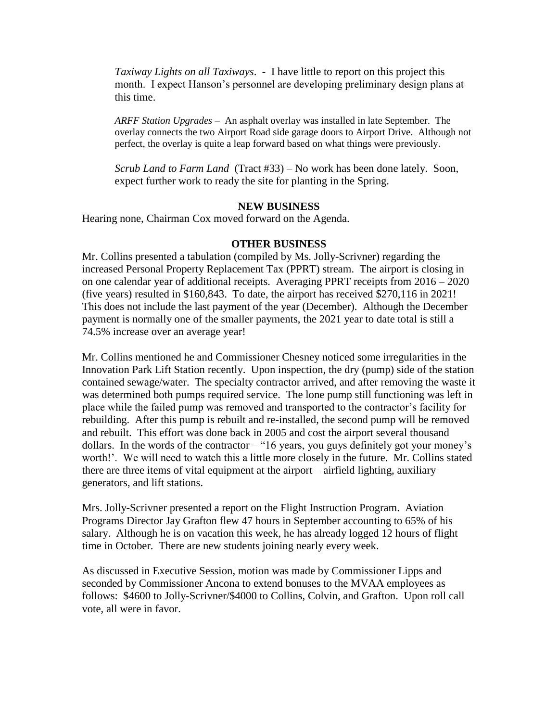*Taxiway Lights on all Taxiways*. - I have little to report on this project this month. I expect Hanson's personnel are developing preliminary design plans at this time.

*ARFF Station Upgrades* – An asphalt overlay was installed in late September. The overlay connects the two Airport Road side garage doors to Airport Drive. Although not perfect, the overlay is quite a leap forward based on what things were previously.

*Scrub Land to Farm Land* (Tract #33) – No work has been done lately. Soon, expect further work to ready the site for planting in the Spring.

#### **NEW BUSINESS**

Hearing none, Chairman Cox moved forward on the Agenda.

#### **OTHER BUSINESS**

Mr. Collins presented a tabulation (compiled by Ms. Jolly-Scrivner) regarding the increased Personal Property Replacement Tax (PPRT) stream. The airport is closing in on one calendar year of additional receipts. Averaging PPRT receipts from 2016 – 2020 (five years) resulted in \$160,843. To date, the airport has received \$270,116 in 2021! This does not include the last payment of the year (December). Although the December payment is normally one of the smaller payments, the 2021 year to date total is still a 74.5% increase over an average year!

Mr. Collins mentioned he and Commissioner Chesney noticed some irregularities in the Innovation Park Lift Station recently. Upon inspection, the dry (pump) side of the station contained sewage/water. The specialty contractor arrived, and after removing the waste it was determined both pumps required service. The lone pump still functioning was left in place while the failed pump was removed and transported to the contractor's facility for rebuilding. After this pump is rebuilt and re-installed, the second pump will be removed and rebuilt. This effort was done back in 2005 and cost the airport several thousand dollars. In the words of the contractor – "16 years, you guys definitely got your money's worth!'. We will need to watch this a little more closely in the future. Mr. Collins stated there are three items of vital equipment at the airport – airfield lighting, auxiliary generators, and lift stations.

Mrs. Jolly-Scrivner presented a report on the Flight Instruction Program. Aviation Programs Director Jay Grafton flew 47 hours in September accounting to 65% of his salary. Although he is on vacation this week, he has already logged 12 hours of flight time in October. There are new students joining nearly every week.

As discussed in Executive Session, motion was made by Commissioner Lipps and seconded by Commissioner Ancona to extend bonuses to the MVAA employees as follows: \$4600 to Jolly-Scrivner/\$4000 to Collins, Colvin, and Grafton. Upon roll call vote, all were in favor.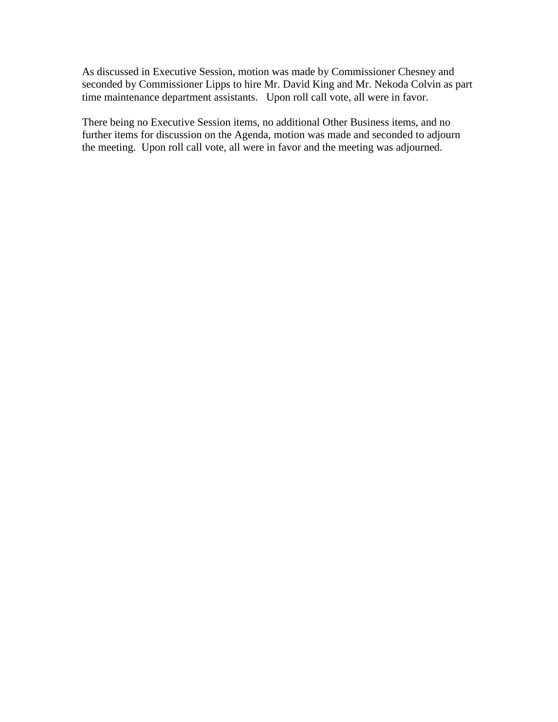As discussed in Executive Session, motion was made by Commissioner Chesney and seconded by Commissioner Lipps to hire Mr. David King and Mr. Nekoda Colvin as part time maintenance department assistants. Upon roll call vote, all were in favor.

There being no Executive Session items, no additional Other Business items, and no further items for discussion on the Agenda, motion was made and seconded to adjourn the meeting. Upon roll call vote, all were in favor and the meeting was adjourned.